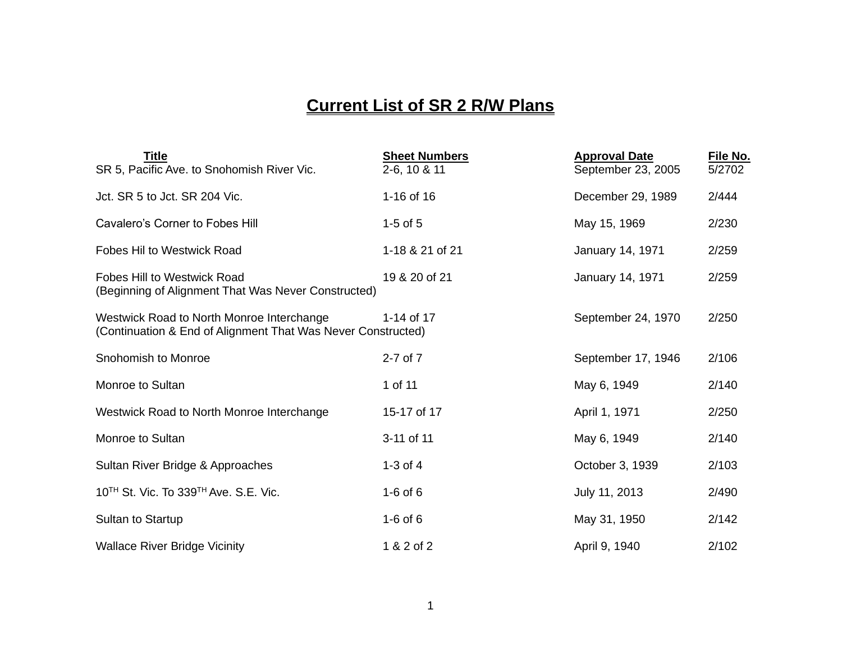## **Current List of SR 2 R/W Plans**

| <b>Title</b><br>SR 5, Pacific Ave. to Snohomish River Vic.                                                | <b>Sheet Numbers</b><br>2-6, 10 & 11 | <b>Approval Date</b><br>September 23, 2005 | File No.<br>5/2702 |
|-----------------------------------------------------------------------------------------------------------|--------------------------------------|--------------------------------------------|--------------------|
| Jct. SR 5 to Jct. SR 204 Vic.                                                                             | 1-16 of 16                           | December 29, 1989                          | 2/444              |
| Cavalero's Corner to Fobes Hill                                                                           | $1-5$ of $5$                         | May 15, 1969                               | 2/230              |
| <b>Fobes Hil to Westwick Road</b>                                                                         | 1-18 & 21 of 21                      | January 14, 1971                           | 2/259              |
| <b>Fobes Hill to Westwick Road</b><br>(Beginning of Alignment That Was Never Constructed)                 | 19 & 20 of 21                        | <b>January 14, 1971</b>                    | 2/259              |
| Westwick Road to North Monroe Interchange<br>(Continuation & End of Alignment That Was Never Constructed) | 1-14 of 17                           | September 24, 1970                         | 2/250              |
| Snohomish to Monroe                                                                                       | 2-7 of 7                             | September 17, 1946                         | 2/106              |
| Monroe to Sultan                                                                                          | 1 of 11                              | May 6, 1949                                | 2/140              |
| Westwick Road to North Monroe Interchange                                                                 | 15-17 of 17                          | April 1, 1971                              | 2/250              |
| Monroe to Sultan                                                                                          | 3-11 of 11                           | May 6, 1949                                | 2/140              |
| Sultan River Bridge & Approaches                                                                          | $1-3$ of 4                           | October 3, 1939                            | 2/103              |
| 10 <sup>TH</sup> St. Vic. To 339 <sup>TH</sup> Ave. S.E. Vic.                                             | $1-6$ of $6$                         | July 11, 2013                              | 2/490              |
| Sultan to Startup                                                                                         | $1-6$ of 6                           | May 31, 1950                               | 2/142              |
| <b>Wallace River Bridge Vicinity</b>                                                                      | 1 & 2 of 2                           | April 9, 1940                              | 2/102              |